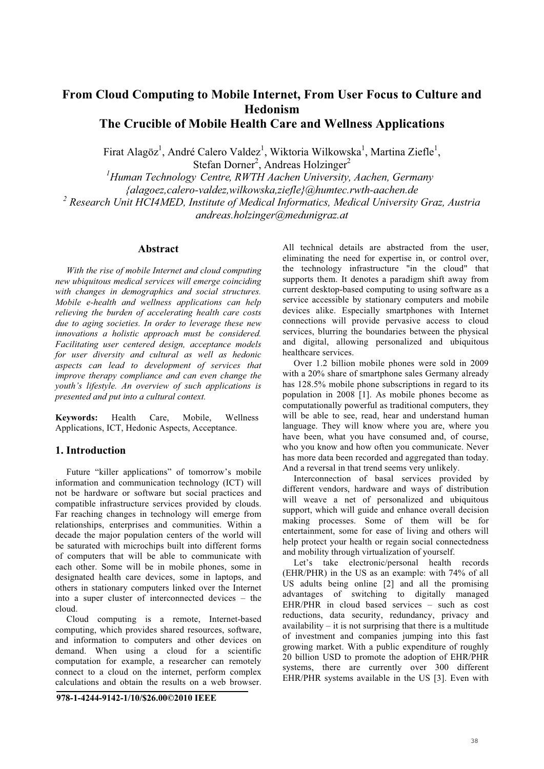# **From Cloud Computing to Mobile Internet, From User Focus to Culture and Hedonism**

**The Crucible of Mobile Health Care and Wellness Applications** 

Firat Alagöz<sup>1</sup>, André Calero Valdez<sup>1</sup>, Wiktoria Wilkowska<sup>1</sup>, Martina Ziefle<sup>1</sup>, Stefan Dorner<sup>2</sup>, Andreas Holzinger<sup>2</sup>

*1 Human Technology Centre, RWTH Aachen University, Aachen, Germany {alagoez,calero-valdez,wilkowska,ziefle}@humtec.rwth-aachen.de*  <sup>2</sup> Research Unit HCI4MED, Institute of Medical Informatics, Medical University Graz, Austria *andreas.holzinger@medunigraz.at* 

#### **Abstract**

*With the rise of mobile Internet and cloud computing new ubiquitous medical services will emerge coinciding with changes in demographics and social structures. Mobile e-health and wellness applications can help relieving the burden of accelerating health care costs due to aging societies. In order to leverage these new innovations a holistic approach must be considered. Facilitating user centered design, acceptance models for user diversity and cultural as well as hedonic aspects can lead to development of services that improve therapy compliance and can even change the youth's lifestyle. An overview of such applications is presented and put into a cultural context.* 

**Keywords:** Health Care, Mobile, Wellness Applications, ICT, Hedonic Aspects, Acceptance.

## **1. Introduction**

Future "killer applications" of tomorrow's mobile information and communication technology (ICT) will not be hardware or software but social practices and compatible infrastructure services provided by clouds. Far reaching changes in technology will emerge from relationships, enterprises and communities. Within a decade the major population centers of the world will be saturated with microchips built into different forms of computers that will be able to communicate with each other. Some will be in mobile phones, some in designated health care devices, some in laptops, and others in stationary computers linked over the Internet into a super cluster of interconnected devices – the cloud.

Cloud computing is a remote, Internet-based computing, which provides shared resources, software, and information to computers and other devices on demand. When using a cloud for a scientific computation for example, a researcher can remotely connect to a cloud on the internet, perform complex calculations and obtain the results on a web browser.

**978-1-4244-9142-1/10/\$26.00©2010 IEEE**

All technical details are abstracted from the user, eliminating the need for expertise in, or control over, the technology infrastructure "in the cloud" that supports them. It denotes a paradigm shift away from current desktop-based computing to using software as a service accessible by stationary computers and mobile devices alike. Especially smartphones with Internet connections will provide pervasive access to cloud services, blurring the boundaries between the physical and digital, allowing personalized and ubiquitous healthcare services.

Over 1.2 billion mobile phones were sold in 2009 with a 20% share of smartphone sales Germany already has 128.5% mobile phone subscriptions in regard to its population in 2008 [1]. As mobile phones become as computationally powerful as traditional computers, they will be able to see, read, hear and understand human language. They will know where you are, where you have been, what you have consumed and, of course, who you know and how often you communicate. Never has more data been recorded and aggregated than today. And a reversal in that trend seems very unlikely.

Interconnection of basal services provided by different vendors, hardware and ways of distribution will weave a net of personalized and ubiquitous support, which will guide and enhance overall decision making processes. Some of them will be for entertainment, some for ease of living and others will help protect your health or regain social connectedness and mobility through virtualization of yourself.

Let's take electronic/personal health records (EHR/PHR) in the US as an example: with 74% of all US adults being online [2] and all the promising advantages of switching to digitally managed EHR/PHR in cloud based services – such as cost reductions, data security, redundancy, privacy and availability  $-$  it is not surprising that there is a multitude of investment and companies jumping into this fast growing market. With a public expenditure of roughly 20 billion USD to promote the adoption of EHR/PHR systems, there are currently over 300 different EHR/PHR systems available in the US [3]. Even with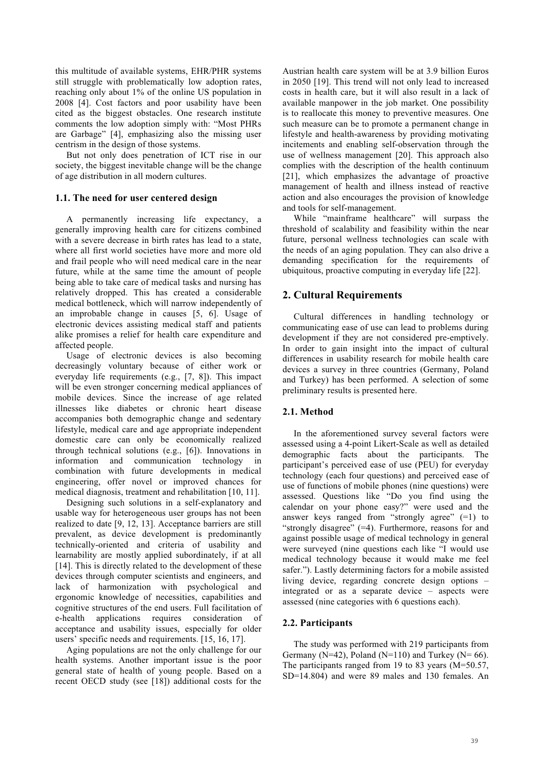this multitude of available systems, EHR/PHR systems still struggle with problematically low adoption rates, reaching only about 1% of the online US population in 2008 [4]. Cost factors and poor usability have been cited as the biggest obstacles. One research institute comments the low adoption simply with: "Most PHRs are Garbage" [4], emphasizing also the missing user centrism in the design of those systems.

But not only does penetration of ICT rise in our society, the biggest inevitable change will be the change of age distribution in all modern cultures.

## **1.1. The need for user centered design**

A permanently increasing life expectancy, a generally improving health care for citizens combined with a severe decrease in birth rates has lead to a state, where all first world societies have more and more old and frail people who will need medical care in the near future, while at the same time the amount of people being able to take care of medical tasks and nursing has relatively dropped. This has created a considerable medical bottleneck, which will narrow independently of an improbable change in causes [5, 6]. Usage of electronic devices assisting medical staff and patients alike promises a relief for health care expenditure and affected people.

Usage of electronic devices is also becoming decreasingly voluntary because of either work or everyday life requirements (e.g., [7, 8]). This impact will be even stronger concerning medical appliances of mobile devices. Since the increase of age related illnesses like diabetes or chronic heart disease accompanies both demographic change and sedentary lifestyle, medical care and age appropriate independent domestic care can only be economically realized through technical solutions (e.g., [6]). Innovations in information and communication technology in combination with future developments in medical engineering, offer novel or improved chances for medical diagnosis, treatment and rehabilitation [10, 11].

Designing such solutions in a self-explanatory and usable way for heterogeneous user groups has not been realized to date [9, 12, 13]. Acceptance barriers are still prevalent, as device development is predominantly technically-oriented and criteria of usability and learnability are mostly applied subordinately, if at all [14]. This is directly related to the development of these devices through computer scientists and engineers, and lack of harmonization with psychological and ergonomic knowledge of necessities, capabilities and cognitive structures of the end users. Full facilitation of e-health applications requires consideration of acceptance and usability issues, especially for older users' specific needs and requirements. [15, 16, 17].

Aging populations are not the only challenge for our health systems. Another important issue is the poor general state of health of young people. Based on a recent OECD study (see [18]) additional costs for the Austrian health care system will be at 3.9 billion Euros in 2050 [19]. This trend will not only lead to increased costs in health care, but it will also result in a lack of available manpower in the job market. One possibility is to reallocate this money to preventive measures. One such measure can be to promote a permanent change in lifestyle and health-awareness by providing motivating incitements and enabling self-observation through the use of wellness management [20]. This approach also complies with the description of the health continuum [21], which emphasizes the advantage of proactive management of health and illness instead of reactive action and also encourages the provision of knowledge and tools for self-management.

While "mainframe healthcare" will surpass the threshold of scalability and feasibility within the near future, personal wellness technologies can scale with the needs of an aging population. They can also drive a demanding specification for the requirements of ubiquitous, proactive computing in everyday life [22].

# **2. Cultural Requirements**

Cultural differences in handling technology or communicating ease of use can lead to problems during development if they are not considered pre-emptively. In order to gain insight into the impact of cultural differences in usability research for mobile health care devices a survey in three countries (Germany, Poland and Turkey) has been performed. A selection of some preliminary results is presented here.

#### **2.1. Method**

In the aforementioned survey several factors were assessed using a 4-point Likert-Scale as well as detailed demographic facts about the participants. The participant's perceived ease of use (PEU) for everyday technology (each four questions) and perceived ease of use of functions of mobile phones (nine questions) were assessed. Questions like "Do you find using the calendar on your phone easy?" were used and the answer keys ranged from "strongly agree"  $(=1)$  to "strongly disagree" (=4). Furthermore, reasons for and against possible usage of medical technology in general were surveyed (nine questions each like "I would use medical technology because it would make me feel safer."). Lastly determining factors for a mobile assisted living device, regarding concrete design options – integrated or as a separate device – aspects were assessed (nine categories with 6 questions each).

#### **2.2. Participants**

The study was performed with 219 participants from Germany (N=42), Poland (N=110) and Turkey (N=  $66$ ). The participants ranged from 19 to 83 years (M=50.57, SD=14.804) and were 89 males and 130 females. An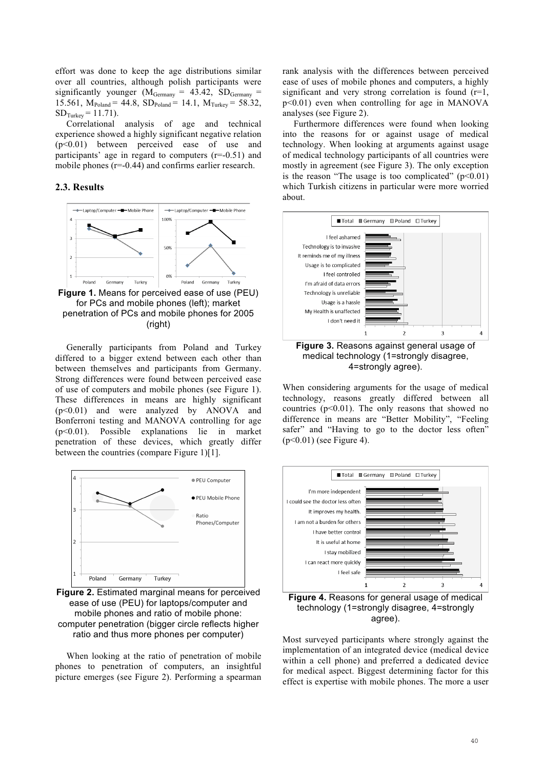effort was done to keep the age distributions similar over all countries, although polish participants were significantly younger ( $M_{Germany} = 43.42$ ,  $SD_{Germany} =$ 15.561,  $M_{\text{Poland}} = 44.8$ ,  $SD_{\text{Poland}} = 14.1$ ,  $M_{\text{Turkey}} = 58.32$ ,  $SD$ <sub>Turkey</sub> = 11.71).

Correlational analysis of age and technical experience showed a highly significant negative relation (p<0.01) between perceived ease of use and participants' age in regard to computers  $(r=-0.51)$  and mobile phones (r=-0.44) and confirms earlier research.

## **2.3. Results**



for PCs and mobile phones (left); market penetration of PCs and mobile phones for 2005 (right)

Generally participants from Poland and Turkey differed to a bigger extend between each other than between themselves and participants from Germany. Strong differences were found between perceived ease of use of computers and mobile phones (see Figure 1). These differences in means are highly significant (p<0.01) and were analyzed by ANOVA and Bonferroni testing and MANOVA controlling for age (p<0.01). Possible explanations lie in market penetration of these devices, which greatly differ between the countries (compare Figure 1)[1].



**Figure 2.** Estimated marginal means for perceived ease of use (PEU) for laptops/computer and mobile phones and ratio of mobile phone: computer penetration (bigger circle reflects higher ratio and thus more phones per computer)

When looking at the ratio of penetration of mobile phones to penetration of computers, an insightful picture emerges (see Figure 2). Performing a spearman rank analysis with the differences between perceived ease of uses of mobile phones and computers, a highly significant and very strong correlation is found  $(r=1,$ p<0.01) even when controlling for age in MANOVA analyses (see Figure 2).

Furthermore differences were found when looking into the reasons for or against usage of medical technology. When looking at arguments against usage of medical technology participants of all countries were mostly in agreement (see Figure 3). The only exception is the reason "The usage is too complicated"  $(p<0.01)$ which Turkish citizens in particular were more worried about.



**Figure 3.** Reasons against general usage of medical technology (1=strongly disagree, 4=strongly agree).

When considering arguments for the usage of medical technology, reasons greatly differed between all countries ( $p<0.01$ ). The only reasons that showed no difference in means are "Better Mobility", "Feeling safer" and "Having to go to the doctor less often"  $(p<0.01)$  (see Figure 4).



technology (1=strongly disagree, 4=strongly agree).

Most surveyed participants where strongly against the implementation of an integrated device (medical device within a cell phone) and preferred a dedicated device for medical aspect. Biggest determining factor for this effect is expertise with mobile phones. The more a user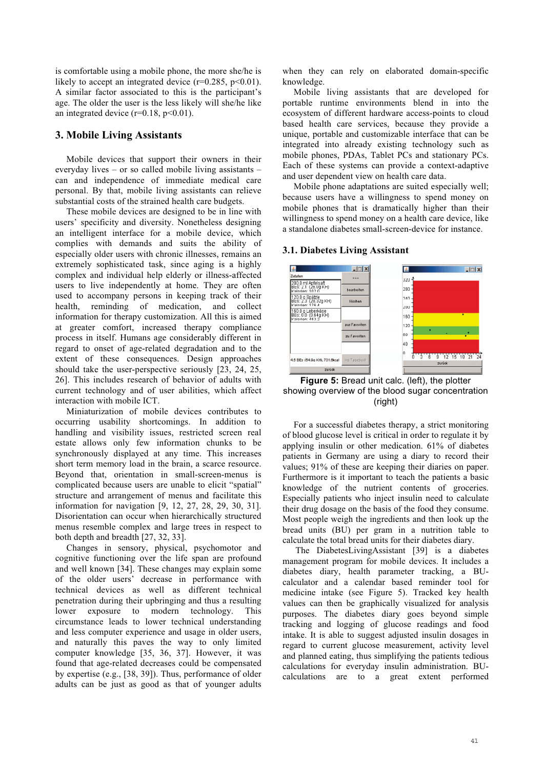is comfortable using a mobile phone, the more she/he is likely to accept an integrated device  $(r=0.285, p<0.01)$ . A similar factor associated to this is the participant's age. The older the user is the less likely will she/he like an integrated device  $(r=0.18, p<0.01)$ .

# **3. Mobile Living Assistants**

Mobile devices that support their owners in their everyday lives – or so called mobile living assistants – can and independence of immediate medical care personal. By that, mobile living assistants can relieve substantial costs of the strained health care budgets.

These mobile devices are designed to be in line with users' specificity and diversity. Nonetheless designing an intelligent interface for a mobile device, which complies with demands and suits the ability of especially older users with chronic illnesses, remains an extremely sophisticated task, since aging is a highly complex and individual help elderly or illness-affected users to live independently at home. They are often used to accompany persons in keeping track of their health, reminding of medication, and collect information for therapy customization. All this is aimed at greater comfort, increased therapy compliance process in itself. Humans age considerably different in regard to onset of age-related degradation and to the extent of these consequences. Design approaches should take the user-perspective seriously [23, 24, 25, 26]. This includes research of behavior of adults with current technology and of user abilities, which affect interaction with mobile ICT.

Miniaturization of mobile devices contributes to occurring usability shortcomings. In addition to handling and visibility issues, restricted screen real estate allows only few information chunks to be synchronously displayed at any time. This increases short term memory load in the brain, a scarce resource. Beyond that, orientation in small-screen-menus is complicated because users are unable to elicit "spatial" structure and arrangement of menus and facilitate this information for navigation [9, 12, 27, 28, 29, 30, 31]. Disorientation can occur when hierarchically structured menus resemble complex and large trees in respect to both depth and breadth [27, 32, 33].

Changes in sensory, physical, psychomotor and cognitive functioning over the life span are profound and well known [34]. These changes may explain some of the older users' decrease in performance with technical devices as well as different technical penetration during their upbringing and thus a resulting lower exposure to modern technology. This circumstance leads to lower technical understanding and less computer experience and usage in older users, and naturally this paves the way to only limited computer knowledge [35, 36, 37]. However, it was found that age-related decreases could be compensated by expertise (e.g., [38, 39]). Thus, performance of older adults can be just as good as that of younger adults

when they can rely on elaborated domain-specific knowledge.

Mobile living assistants that are developed for portable runtime environments blend in into the ecosystem of different hardware access-points to cloud based health care services, because they provide a unique, portable and customizable interface that can be integrated into already existing technology such as mobile phones, PDAs, Tablet PCs and stationary PCs. Each of these systems can provide a context-adaptive and user dependent view on health care data.

Mobile phone adaptations are suited especially well; because users have a willingness to spend money on mobile phones that is dramatically higher than their willingness to spend money on a health care device, like a standalone diabetes small-screen-device for instance.

#### **3.1. Diabetes Living Assistant**

|                                                              | $=$ $\Box$ $\times$ |            |  |        |   |                | $  $ $ $ $ $ $x $ |  |
|--------------------------------------------------------------|---------------------|------------|--|--------|---|----------------|-------------------|--|
| Zutaten                                                      | nou                 | 320 f      |  |        |   |                |                   |  |
| 200.0 ml Apfelsaft<br>BEs: 2.1 (26.0g KH)<br>Kalorien: 102.0 | bearbeiten          | 280        |  |        |   |                |                   |  |
| 120.0 a Spätzle<br>BEs: 2.3 (28.32g KH)<br>Kalorion: 176.4   | löschen             | 240<br>200 |  |        |   |                |                   |  |
| 160.0 a Leberkäse<br>BEs: 0.0 (0.64g KH)<br>Kalorien: 453.2  |                     | 160        |  |        |   | ٠              |                   |  |
|                                                              | aus Favoriten       | 120        |  |        |   |                |                   |  |
|                                                              | zu Favoriten        | 80         |  |        | ٠ | ٠              |                   |  |
|                                                              |                     | 40         |  |        |   |                |                   |  |
| 4.5 BEs (54.9g KH), 731,6kcal                                | ins Tagebuch        | n          |  | ĝ      |   | 12 15 18 21 24 |                   |  |
| zurück                                                       |                     |            |  | zurück |   |                |                   |  |

**Figure 5:** Bread unit calc. (left), the plotter showing overview of the blood sugar concentration (right)

For a successful diabetes therapy, a strict monitoring of blood glucose level is critical in order to regulate it by applying insulin or other medication. 61% of diabetes patients in Germany are using a diary to record their values; 91% of these are keeping their diaries on paper. Furthermore is it important to teach the patients a basic knowledge of the nutrient contents of groceries. Especially patients who inject insulin need to calculate their drug dosage on the basis of the food they consume. Most people weigh the ingredients and then look up the bread units (BU) per gram in a nutrition table to calculate the total bread units for their diabetes diary.

The DiabetesLivingAssistant [39] is a diabetes management program for mobile devices. It includes a diabetes diary, health parameter tracking, a BUcalculator and a calendar based reminder tool for medicine intake (see Figure 5). Tracked key health values can then be graphically visualized for analysis purposes. The diabetes diary goes beyond simple tracking and logging of glucose readings and food intake. It is able to suggest adjusted insulin dosages in regard to current glucose measurement, activity level and planned eating, thus simplifying the patients tedious calculations for everyday insulin administration. BUcalculations are to a great extent performed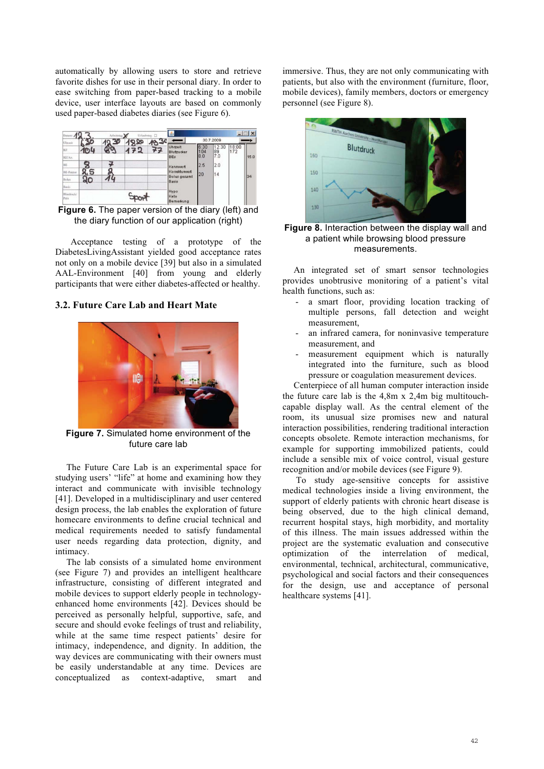automatically by allowing users to store and retrieve favorite dishes for use in their personal diary. In order to ease switching from paper-based tracking to a mobile device, user interface layouts are based on commonly used paper-based diabetes diaries (see Figure 6).

| Datum:<br>Uhrzeit  | Arbeitstag<br>Urlaubstag [] |  |    |  |                                     |                   |                        |              |      |
|--------------------|-----------------------------|--|----|--|-------------------------------------|-------------------|------------------------|--------------|------|
| BZ.<br>HZ/Az.      |                             |  | 72 |  | Uhrzeit<br>Blutzucker<br><b>BEs</b> | -51<br>104<br>8.0 | 12:30<br>$^{89}_{7.0}$ | 18:00<br>172 | 15.0 |
| <b>BE</b>          |                             |  |    |  | Kennwert                            | 2.5               | 2.0                    |              |      |
| BE-Faktor          | 8,5                         |  |    |  | Korrekturwert                       | 20                | 14                     |              |      |
| <b>Bolus</b>       |                             |  |    |  | Bolus gesamt<br>Basis               |                   |                        |              | 34   |
| <b>Basis</b>       |                             |  |    |  |                                     |                   |                        |              |      |
| Blutdruck/<br>Puls |                             |  |    |  | Hypo<br>Keto<br><b>Bemerkung</b>    |                   |                        |              |      |

**Figure 6.** The paper version of the diary (left) and the diary function of our application (right)

 Acceptance testing of a prototype of the DiabetesLivingAssistant yielded good acceptance rates not only on a mobile device [39] but also in a simulated AAL-Environment [40] from young and elderly participants that were either diabetes-affected or healthy.

# **3.2. Future Care Lab and Heart Mate**



**Figure 7.** Simulated home environment of the future care lab

The Future Care Lab is an experimental space for studying users' "life" at home and examining how they interact and communicate with invisible technology [41]. Developed in a multidisciplinary and user centered design process, the lab enables the exploration of future homecare environments to define crucial technical and medical requirements needed to satisfy fundamental user needs regarding data protection, dignity, and intimacy.

The lab consists of a simulated home environment (see Figure 7) and provides an intelligent healthcare infrastructure, consisting of different integrated and mobile devices to support elderly people in technologyenhanced home environments [42]. Devices should be perceived as personally helpful, supportive, safe, and secure and should evoke feelings of trust and reliability, while at the same time respect patients' desire for intimacy, independence, and dignity. In addition, the way devices are communicating with their owners must be easily understandable at any time. Devices are conceptualized as context-adaptive, smart and

immersive. Thus, they are not only communicating with patients, but also with the environment (furniture, floor, mobile devices), family members, doctors or emergency personnel (see Figure 8).



**Figure 8.** Interaction between the display wall and a patient while browsing blood pressure measurements.

An integrated set of smart sensor technologies provides unobtrusive monitoring of a patient's vital health functions, such as:

- a smart floor, providing location tracking of multiple persons, fall detection and weight measurement,
- an infrared camera, for noninvasive temperature measurement, and
- measurement equipment which is naturally integrated into the furniture, such as blood pressure or coagulation measurement devices.

Centerpiece of all human computer interaction inside the future care lab is the  $4.8m \times 2.4m$  big multitouchcapable display wall. As the central element of the room, its unusual size promises new and natural interaction possibilities, rendering traditional interaction concepts obsolete. Remote interaction mechanisms, for example for supporting immobilized patients, could include a sensible mix of voice control, visual gesture recognition and/or mobile devices (see Figure 9).

 To study age-sensitive concepts for assistive medical technologies inside a living environment, the support of elderly patients with chronic heart disease is being observed, due to the high clinical demand, recurrent hospital stays, high morbidity, and mortality of this illness. The main issues addressed within the project are the systematic evaluation and consecutive optimization of the interrelation of medical, environmental, technical, architectural, communicative, psychological and social factors and their consequences for the design, use and acceptance of personal healthcare systems [41].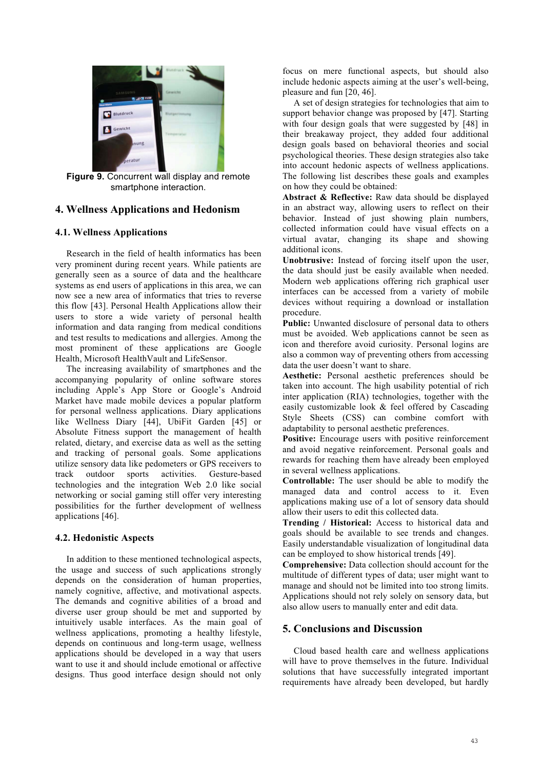

**Figure 9.** Concurrent wall display and remote smartphone interaction.

# **4. Wellness Applications and Hedonism**

## **4.1. Wellness Applications**

Research in the field of health informatics has been very prominent during recent years. While patients are generally seen as a source of data and the healthcare systems as end users of applications in this area, we can now see a new area of informatics that tries to reverse this flow [43]. Personal Health Applications allow their users to store a wide variety of personal health information and data ranging from medical conditions and test results to medications and allergies. Among the most prominent of these applications are Google Health, Microsoft HealthVault and LifeSensor.

The increasing availability of smartphones and the accompanying popularity of online software stores including Apple's App Store or Google's Android Market have made mobile devices a popular platform for personal wellness applications. Diary applications like Wellness Diary [44], UbiFit Garden [45] or Absolute Fitness support the management of health related, dietary, and exercise data as well as the setting and tracking of personal goals. Some applications utilize sensory data like pedometers or GPS receivers to track outdoor sports activities. Gesture-based technologies and the integration Web 2.0 like social networking or social gaming still offer very interesting possibilities for the further development of wellness applications [46].

# **4.2. Hedonistic Aspects**

In addition to these mentioned technological aspects, the usage and success of such applications strongly depends on the consideration of human properties, namely cognitive, affective, and motivational aspects. The demands and cognitive abilities of a broad and diverse user group should be met and supported by intuitively usable interfaces. As the main goal of wellness applications, promoting a healthy lifestyle, depends on continuous and long-term usage, wellness applications should be developed in a way that users want to use it and should include emotional or affective designs. Thus good interface design should not only focus on mere functional aspects, but should also include hedonic aspects aiming at the user's well-being, pleasure and fun [20, 46].

A set of design strategies for technologies that aim to support behavior change was proposed by [47]. Starting with four design goals that were suggested by [48] in their breakaway project, they added four additional design goals based on behavioral theories and social psychological theories. These design strategies also take into account hedonic aspects of wellness applications. The following list describes these goals and examples on how they could be obtained:

**Abstract & Reflective:** Raw data should be displayed in an abstract way, allowing users to reflect on their behavior. Instead of just showing plain numbers, collected information could have visual effects on a virtual avatar, changing its shape and showing additional icons.

**Unobtrusive:** Instead of forcing itself upon the user, the data should just be easily available when needed. Modern web applications offering rich graphical user interfaces can be accessed from a variety of mobile devices without requiring a download or installation procedure.

**Public:** Unwanted disclosure of personal data to others must be avoided. Web applications cannot be seen as icon and therefore avoid curiosity. Personal logins are also a common way of preventing others from accessing data the user doesn't want to share.

**Aesthetic:** Personal aesthetic preferences should be taken into account. The high usability potential of rich inter application (RIA) technologies, together with the easily customizable look & feel offered by Cascading Style Sheets (CSS) can combine comfort with adaptability to personal aesthetic preferences.

**Positive:** Encourage users with positive reinforcement and avoid negative reinforcement. Personal goals and rewards for reaching them have already been employed in several wellness applications.

**Controllable:** The user should be able to modify the managed data and control access to it. Even applications making use of a lot of sensory data should allow their users to edit this collected data.

**Trending / Historical:** Access to historical data and goals should be available to see trends and changes. Easily understandable visualization of longitudinal data can be employed to show historical trends [49].

**Comprehensive:** Data collection should account for the multitude of different types of data; user might want to manage and should not be limited into too strong limits. Applications should not rely solely on sensory data, but also allow users to manually enter and edit data.

# **5. Conclusions and Discussion**

Cloud based health care and wellness applications will have to prove themselves in the future. Individual solutions that have successfully integrated important requirements have already been developed, but hardly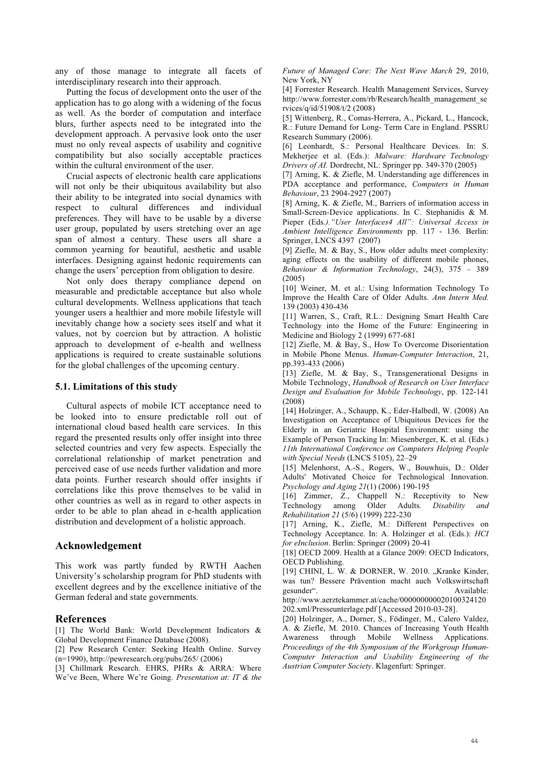any of those manage to integrate all facets of interdisciplinary research into their approach.

Putting the focus of development onto the user of the application has to go along with a widening of the focus as well. As the border of computation and interface blurs, further aspects need to be integrated into the development approach. A pervasive look onto the user must no only reveal aspects of usability and cognitive compatibility but also socially acceptable practices within the cultural environment of the user.

Crucial aspects of electronic health care applications will not only be their ubiquitous availability but also their ability to be integrated into social dynamics with respect to cultural differences and individual preferences. They will have to be usable by a diverse user group, populated by users stretching over an age span of almost a century. These users all share a common yearning for beautiful, aesthetic and usable interfaces. Designing against hedonic requirements can change the users' perception from obligation to desire.

Not only does therapy compliance depend on measurable and predictable acceptance but also whole cultural developments. Wellness applications that teach younger users a healthier and more mobile lifestyle will inevitably change how a society sees itself and what it values, not by coercion but by attraction. A holistic approach to development of e-health and wellness applications is required to create sustainable solutions for the global challenges of the upcoming century.

#### **5.1. Limitations of this study**

Cultural aspects of mobile ICT acceptance need to be looked into to ensure predictable roll out of international cloud based health care services. In this regard the presented results only offer insight into three selected countries and very few aspects. Especially the correlational relationship of market penetration and perceived ease of use needs further validation and more data points. Further research should offer insights if correlations like this prove themselves to be valid in other countries as well as in regard to other aspects in order to be able to plan ahead in e-health application distribution and development of a holistic approach.

#### **Acknowledgement**

This work was partly funded by RWTH Aachen University's scholarship program for PhD students with excellent degrees and by the excellence initiative of the German federal and state governments.

#### **References**

[1] The World Bank: World Development Indicators & Global Development Finance Database (2008).

[2] Pew Research Center: Seeking Health Online. Survey (n=1990), http://pewresearch.org/pubs/265/ (2006)

[3] Chillmark Research. EHRS, PHRs & ARRA: Where We've Been, Where We're Going. *Presentation at: IT & the* 

*Future of Managed Care: The Next Wave March* 29, 2010, New York, NY

[4] Forrester Research. Health Management Services, Survey http://www.forrester.com/rb/Research/health\_management\_se rvices/q/id/51908/t/2 (2008)

[5] Wittenberg, R., Comas-Herrera, A., Pickard, L., Hancock, R.: Future Demand for Long- Term Care in England. PSSRU Research Summary (2006).

[6] Leonhardt, S.: Personal Healthcare Devices. In: S. Mekherjee et al. (Eds.): *Malware: Hardware Technology Drivers of AI.* Dordrecht, NL: Springer pp. 349-370 (2005)

[7] Arning, K. & Ziefle, M. Understanding age differences in PDA acceptance and performance, *Computers in Human Behaviour*, 23 2904-2927 (2007)

[8] Arning, K. & Ziefle, M., Barriers of information access in Small-Screen-Device applications. In C. Stephanidis & M. Pieper (Eds*.)."User Interfaces4 All": Universal Access in Ambient Intelligence Environments* pp. 117 - 136. Berlin: Springer, LNCS 4397 (2007)

[9] Ziefle, M. & Bay, S., How older adults meet complexity: aging effects on the usability of different mobile phones, *Behaviour & Information Technology*, 24(3), 375 – 389 (2005)

[10] Weiner, M. et al.: Using Information Technology To Improve the Health Care of Older Adults. *Ann Intern Med.* 139 (2003) 430-436

[11] Warren, S., Craft, R.L.: Designing Smart Health Care Technology into the Home of the Future: Engineering in Medicine and Biology 2 (1999) 677-681

[12] Ziefle, M. & Bay, S., How To Overcome Disorientation in Mobile Phone Menus. *Human-Computer Interaction*, 21, pp.393-433 (2006)

[13] Ziefle, M. & Bay, S., Transgenerational Designs in Mobile Technology, *Handbook of Research on User Interface Design and Evaluation for Mobile Technology*, pp. 122-141 (2008)

[14] Holzinger, A., Schaupp, K., Eder-Halbedl, W. (2008) An Investigation on Acceptance of Ubiquitous Devices for the Elderly in an Geriatric Hospital Environment: using the Example of Person Tracking In: Miesenberger, K. et al. (Eds.) *11th International Conference on Computers Helping People with Special Needs* (LNCS 5105), 22–29

[15] Melenhorst, A.-S., Rogers, W., Bouwhuis, D.: Older Adults' Motivated Choice for Technological Innovation. *Psychology and Aging 21*(1) (2006) 190-195

[16] Zimmer, Z., Chappell N.: Receptivity to New Technology among Older Adults*. Disability and Rehabilitation 21* (5/6) (1999) 222-230

[17] Arning, K., Ziefle, M.: Different Perspectives on Technology Acceptance. In: A. Holzinger et al. (Eds.): *HCI for eInclusion*. Berlin: Springer (2009) 20-41

[18] OECD 2009. Health at a Glance 2009: OECD Indicators, OECD Publishing.

[19] CHINI, L. W. & DORNER, W. 2010. "Kranke Kinder, was tun? Bessere Prävention macht auch Volkswirtschaft gesunder". Available:

http://www.aerztekammer.at/cache/000000000020100324120 202.xml/Presseunterlage.pdf [Accessed 2010-03-28].

[20] Holzinger, A., Dorner, S., Födinger, M., Calero Valdez, A. & Ziefle, M. 2010. Chances of Increasing Youth Health Awareness through Mobile Wellness Applications. *Proceedings of the 4th Symposium of the Workgroup Human-Computer Interaction and Usability Engineering of the Austrian Computer Society*. Klagenfurt: Springer.